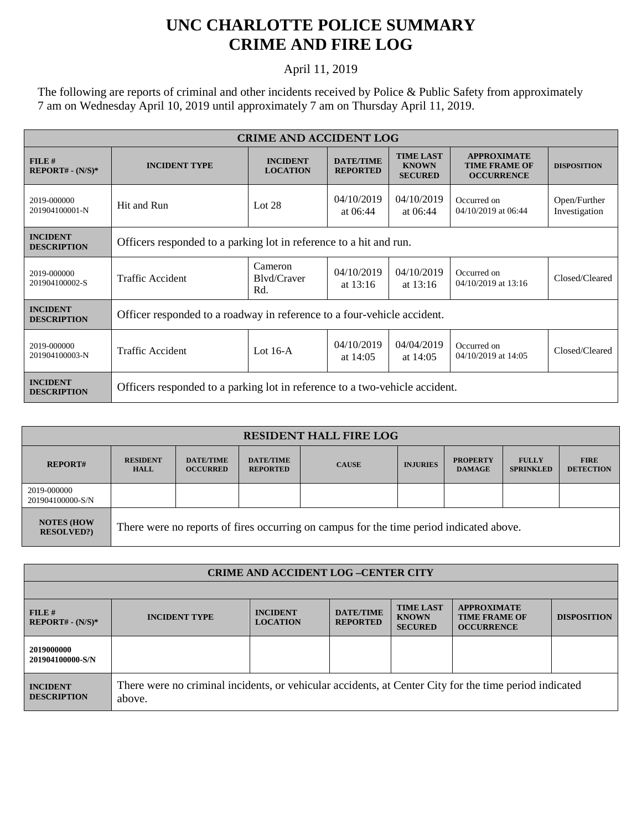## **UNC CHARLOTTE POLICE SUMMARY CRIME AND FIRE LOG**

## April 11, 2019

The following are reports of criminal and other incidents received by Police & Public Safety from approximately 7 am on Wednesday April 10, 2019 until approximately 7 am on Thursday April 11, 2019.

| <b>CRIME AND ACCIDENT LOG</b>         |                                                                             |                                    |                                     |                                                    |                                                                 |                               |  |
|---------------------------------------|-----------------------------------------------------------------------------|------------------------------------|-------------------------------------|----------------------------------------------------|-----------------------------------------------------------------|-------------------------------|--|
| $FILE$ #<br>$REPORT# - (N/S)*$        | <b>INCIDENT TYPE</b>                                                        | <b>INCIDENT</b><br><b>LOCATION</b> | <b>DATE/TIME</b><br><b>REPORTED</b> | <b>TIME LAST</b><br><b>KNOWN</b><br><b>SECURED</b> | <b>APPROXIMATE</b><br><b>TIME FRAME OF</b><br><b>OCCURRENCE</b> | <b>DISPOSITION</b>            |  |
| 2019-000000<br>201904100001-N         | Hit and Run                                                                 | Lot $28$                           | 04/10/2019<br>at $06:44$            | 04/10/2019<br>at $06:44$                           | Occurred on<br>04/10/2019 at 06:44                              | Open/Further<br>Investigation |  |
| <b>INCIDENT</b><br><b>DESCRIPTION</b> | Officers responded to a parking lot in reference to a hit and run.          |                                    |                                     |                                                    |                                                                 |                               |  |
| 2019-000000<br>201904100002-S         | <b>Traffic Accident</b>                                                     | Cameron<br>Blyd/Craver<br>Rd.      | 04/10/2019<br>at $13:16$            | 04/10/2019<br>at $13:16$                           | Occurred on<br>04/10/2019 at 13:16                              | Closed/Cleared                |  |
| <b>INCIDENT</b><br><b>DESCRIPTION</b> | Officer responded to a roadway in reference to a four-vehicle accident.     |                                    |                                     |                                                    |                                                                 |                               |  |
| 2019-000000<br>201904100003-N         | <b>Traffic Accident</b>                                                     | Lot $16-A$                         | 04/10/2019<br>at $14:05$            | 04/04/2019<br>at $14:05$                           | Occurred on<br>04/10/2019 at 14:05                              | Closed/Cleared                |  |
| <b>INCIDENT</b><br><b>DESCRIPTION</b> | Officers responded to a parking lot in reference to a two-vehicle accident. |                                    |                                     |                                                    |                                                                 |                               |  |

| <b>RESIDENT HALL FIRE LOG</b>         |                                                                                         |                                     |                                     |              |                 |                                  |                                  |                                 |
|---------------------------------------|-----------------------------------------------------------------------------------------|-------------------------------------|-------------------------------------|--------------|-----------------|----------------------------------|----------------------------------|---------------------------------|
| <b>REPORT#</b>                        | <b>RESIDENT</b><br><b>HALL</b>                                                          | <b>DATE/TIME</b><br><b>OCCURRED</b> | <b>DATE/TIME</b><br><b>REPORTED</b> | <b>CAUSE</b> | <b>INJURIES</b> | <b>PROPERTY</b><br><b>DAMAGE</b> | <b>FULLY</b><br><b>SPRINKLED</b> | <b>FIRE</b><br><b>DETECTION</b> |
| 2019-000000<br>201904100000-S/N       |                                                                                         |                                     |                                     |              |                 |                                  |                                  |                                 |
| <b>NOTES (HOW</b><br><b>RESOLVED?</b> | There were no reports of fires occurring on campus for the time period indicated above. |                                     |                                     |              |                 |                                  |                                  |                                 |

| <b>CRIME AND ACCIDENT LOG-CENTER CITY</b> |                                                                                                                  |                                    |                                     |                                                    |                                                                 |                    |  |
|-------------------------------------------|------------------------------------------------------------------------------------------------------------------|------------------------------------|-------------------------------------|----------------------------------------------------|-----------------------------------------------------------------|--------------------|--|
|                                           |                                                                                                                  |                                    |                                     |                                                    |                                                                 |                    |  |
| FILE#<br>$REPORT# - (N/S)*$               | <b>INCIDENT TYPE</b>                                                                                             | <b>INCIDENT</b><br><b>LOCATION</b> | <b>DATE/TIME</b><br><b>REPORTED</b> | <b>TIME LAST</b><br><b>KNOWN</b><br><b>SECURED</b> | <b>APPROXIMATE</b><br><b>TIME FRAME OF</b><br><b>OCCURRENCE</b> | <b>DISPOSITION</b> |  |
| 2019000000<br>201904100000-S/N            |                                                                                                                  |                                    |                                     |                                                    |                                                                 |                    |  |
| <b>INCIDENT</b><br><b>DESCRIPTION</b>     | There were no criminal incidents, or vehicular accidents, at Center City for the time period indicated<br>above. |                                    |                                     |                                                    |                                                                 |                    |  |